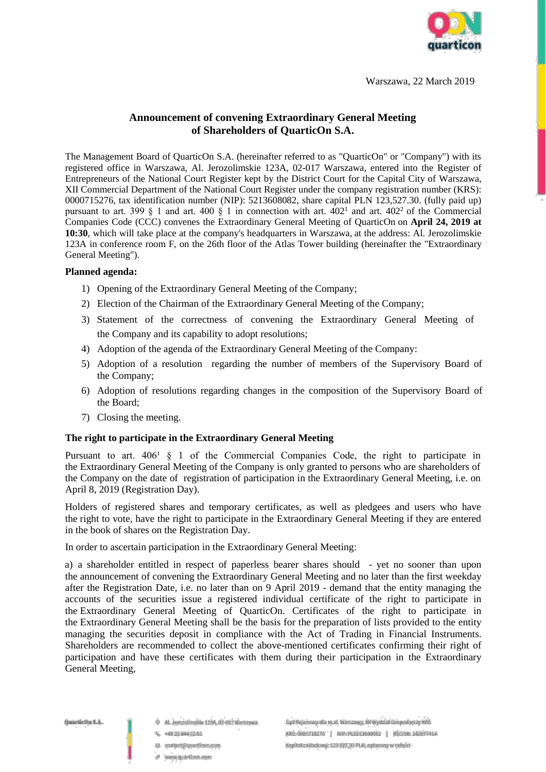

Warszawa, 22 March 2019

# **Announcement of convening Extraordinary General Meeting of Shareholders of QuarticOn S.A.**

The Management Board of QuarticOn S.A. (hereinafter referred to as "QuarticOn" or "Company") with its registered office in Warszawa, Al. Jerozolimskie 123A, 02-017 Warszawa, entered into the Register of Entrepreneurs of the National Court Register kept by the District Court for the Capital City of Warszawa, XII Commercial Department of the National Court Register under the company registration number (KRS): 0000715276, tax identification number (NIP): 5213608082, share capital PLN 123,527.30. (fully paid up) pursuant to art. 399 § 1 and art. 400 § 1 in connection with art.  $402^1$  and art.  $402^2$  of the Commercial Companies Code (CCC) convenes the Extraordinary General Meeting of QuarticOn on **April 24, 2019 at 10:30**, which will take place at the company's headquarters in Warszawa, at the address: Al. Jerozolimskie 123A in conference room F, on the 26th floor of the Atlas Tower building (hereinafter the "Extraordinary General Meeting").

#### **Planned agenda:**

- 1) Opening of the Extraordinary General Meeting of the Company;
- 2) Election of the Chairman of the Extraordinary General Meeting of the Company;
- 3) Statement of the correctness of convening the Extraordinary General Meeting of the Company and its capability to adopt resolutions;
- 4) Adoption of the agenda of the Extraordinary General Meeting of the Company:
- 5) Adoption of a resolution regarding the number of members of the Supervisory Board of the Company;
- 6) Adoption of resolutions regarding changes in the composition of the Supervisory Board of the Board;
- 7) Closing the meeting.

# **The right to participate in the Extraordinary General Meeting**

Pursuant to art.  $406<sup>1</sup> \tS 1$  of the Commercial Companies Code, the right to participate in the Extraordinary General Meeting of the Company is only granted to persons who are shareholders of the Company on the date of registration of participation in the Extraordinary General Meeting, i.e. on April 8, 2019 (Registration Day).

Holders of registered shares and temporary certificates, as well as pledgees and users who have the right to vote, have the right to participate in the Extraordinary General Meeting if they are entered in the book of shares on the Registration Day.

In order to ascertain participation in the Extraordinary General Meeting:

a) a shareholder entitled in respect of paperless bearer shares should - yet no sooner than upon the announcement of convening the Extraordinary General Meeting and no later than the first weekday after the Registration Date, i.e. no later than on 9 April 2019 - demand that the entity managing the accounts of the securities issue a registered individual certificate of the right to participate in the Extraordinary General Meeting of QuarticOn. Certificates of the right to participate in the Extraordinary General Meeting shall be the basis for the preparation of lists provided to the entity managing the securities deposit in compliance with the Act of Trading in Financial Instruments. Shareholders are recommended to collect the above-mentioned certificates confirming their right of participation and have these certificates with them during their participation in the Extraordinary General Meeting,

- @ AL. Jerozolimskie 1234, 02-017 Warszawa
- U. +48 22 844 02 51
- El contact@quarticon.com
- a www.quarticon.com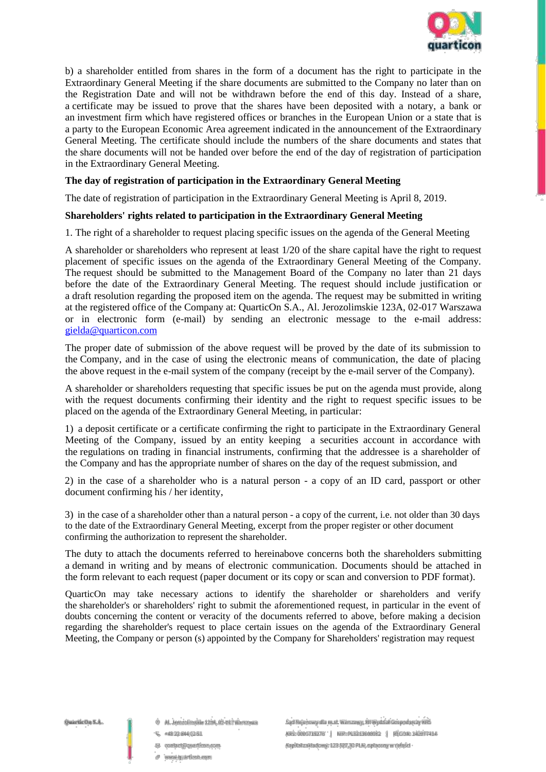

b) a shareholder entitled from shares in the form of a document has the right to participate in the Extraordinary General Meeting if the share documents are submitted to the Company no later than on the Registration Date and will not be withdrawn before the end of this day. Instead of a share, a certificate may be issued to prove that the shares have been deposited with a notary, a bank or an investment firm which have registered offices or branches in the European Union or a state that is a party to the European Economic Area agreement indicated in the announcement of the Extraordinary General Meeting. The certificate should include the numbers of the share documents and states that the share documents will not be handed over before the end of the day of registration of participation in the Extraordinary General Meeting.

## **The day of registration of participation in the Extraordinary General Meeting**

The date of registration of participation in the Extraordinary General Meeting is April 8, 2019.

#### **Shareholders' rights related to participation in the Extraordinary General Meeting**

1. The right of a shareholder to request placing specific issues on the agenda of the General Meeting

A shareholder or shareholders who represent at least 1/20 of the share capital have the right to request placement of specific issues on the agenda of the Extraordinary General Meeting of the Company. The request should be submitted to the Management Board of the Company no later than 21 days before the date of the Extraordinary General Meeting. The request should include justification or a draft resolution regarding the proposed item on the agenda. The request may be submitted in writing at the registered office of the Company at: QuarticOn S.A., Al. Jerozolimskie 123A, 02-017 Warszawa or in electronic form (e-mail) by sending an electronic message to the e-mail address: [gielda@quarticon.com](mailto:gielda@quarticon.com)

The proper date of submission of the above request will be proved by the date of its submission to the Company, and in the case of using the electronic means of communication, the date of placing the above request in the e-mail system of the company (receipt by the e-mail server of the Company).

A shareholder or shareholders requesting that specific issues be put on the agenda must provide, along with the request documents confirming their identity and the right to request specific issues to be placed on the agenda of the Extraordinary General Meeting, in particular:

1) a deposit certificate or a certificate confirming the right to participate in the Extraordinary General Meeting of the Company, issued by an entity keeping a securities account in accordance with the regulations on trading in financial instruments, confirming that the addressee is a shareholder of the Company and has the appropriate number of shares on the day of the request submission, and

2) in the case of a shareholder who is a natural person - a copy of an ID card, passport or other document confirming his / her identity,

3) in the case of a shareholder other than a natural person - a copy of the current, i.e. not older than 30 days to the date of the Extraordinary General Meeting, excerpt from the proper register or other document confirming the authorization to represent the shareholder.

The duty to attach the documents referred to hereinabove concerns both the shareholders submitting a demand in writing and by means of electronic communication. Documents should be attached in the form relevant to each request (paper document or its copy or scan and conversion to PDF format).

QuarticOn may take necessary actions to identify the shareholder or shareholders and verify the shareholder's or shareholders' right to submit the aforementioned request, in particular in the event of doubts concerning the content or veracity of the documents referred to above, before making a decision regarding the shareholder's request to place certain issues on the agenda of the Extraordinary General Meeting, the Company or person (s) appointed by the Company for Shareholders' registration may request

- @ AL. Jerozolimskie 1234, 02-017 Warszawa
- 48328440251
- El contact@quarticon.com
- www.quarticon.com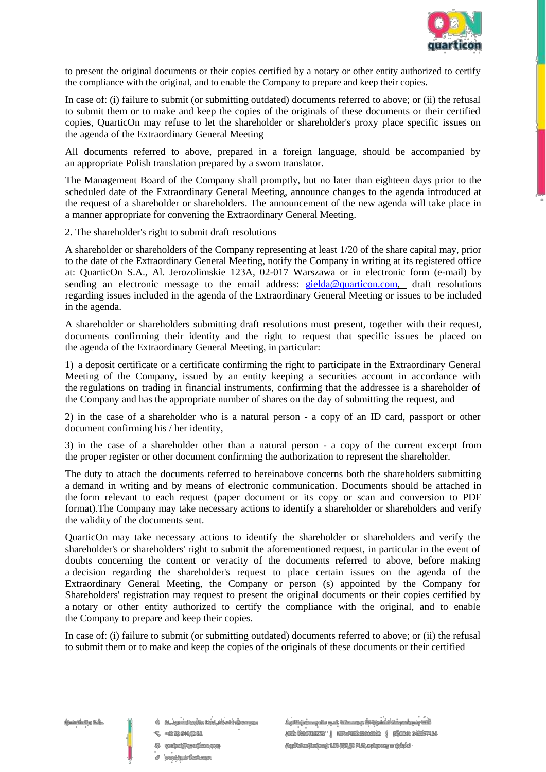

to present the original documents or their copies certified by a notary or other entity authorized to certify the compliance with the original, and to enable the Company to prepare and keep their copies.

In case of: (i) failure to submit (or submitting outdated) documents referred to above; or (ii) the refusal to submit them or to make and keep the copies of the originals of these documents or their certified copies, QuarticOn may refuse to let the shareholder or shareholder's proxy place specific issues on the agenda of the Extraordinary General Meeting

All documents referred to above, prepared in a foreign language, should be accompanied by an appropriate Polish translation prepared by a sworn translator.

The Management Board of the Company shall promptly, but no later than eighteen days prior to the scheduled date of the Extraordinary General Meeting, announce changes to the agenda introduced at the request of a shareholder or shareholders. The announcement of the new agenda will take place in a manner appropriate for convening the Extraordinary General Meeting.

2. The shareholder's right to submit draft resolutions

A shareholder or shareholders of the Company representing at least 1/20 of the share capital may, prior to the date of the Extraordinary General Meeting, notify the Company in writing at its registered office at: QuarticOn S.A., Al. Jerozolimskie 123A, 02-017 Warszawa or in electronic form (e-mail) by sending an electronic message to the email address: [gielda@quarticon.com,](mailto:gielda@quarticon.com) draft resolutions regarding issues included in the agenda of the Extraordinary General Meeting or issues to be included in the agenda.

A shareholder or shareholders submitting draft resolutions must present, together with their request, documents confirming their identity and the right to request that specific issues be placed on the agenda of the Extraordinary General Meeting, in particular:

1) a deposit certificate or a certificate confirming the right to participate in the Extraordinary General Meeting of the Company, issued by an entity keeping a securities account in accordance with the regulations on trading in financial instruments, confirming that the addressee is a shareholder of the Company and has the appropriate number of shares on the day of submitting the request, and

2) in the case of a shareholder who is a natural person - a copy of an ID card, passport or other document confirming his / her identity,

3) in the case of a shareholder other than a natural person - a copy of the current excerpt from the proper register or other document confirming the authorization to represent the shareholder.

The duty to attach the documents referred to hereinabove concerns both the shareholders submitting a demand in writing and by means of electronic communication. Documents should be attached in the form relevant to each request (paper document or its copy or scan and conversion to PDF format).The Company may take necessary actions to identify a shareholder or shareholders and verify the validity of the documents sent.

QuarticOn may take necessary actions to identify the shareholder or shareholders and verify the shareholder's or shareholders' right to submit the aforementioned request, in particular in the event of doubts concerning the content or veracity of the documents referred to above, before making a decision regarding the shareholder's request to place certain issues on the agenda of the Extraordinary General Meeting, the Company or person (s) appointed by the Company for Shareholders' registration may request to present the original documents or their copies certified by a notary or other entity authorized to certify the compliance with the original, and to enable the Company to prepare and keep their copies.

In case of: (i) failure to submit (or submitting outdated) documents referred to above; or (ii) the refusal to submit them or to make and keep the copies of the originals of these documents or their certified

Owartle On S.A.

 $@$  Al., lerozolimskie 1238, 02-017 Warszwan

L +4833 844 02 51

El contact@quarticon.com

a www.quarticon.com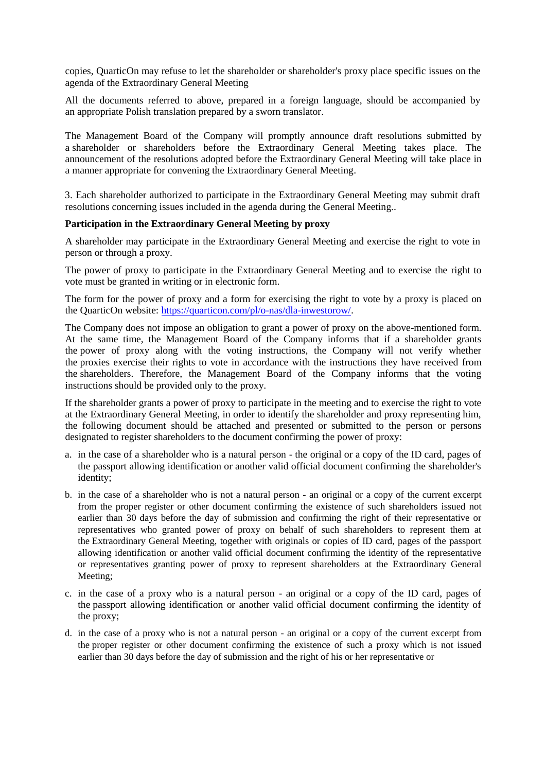copies, QuarticOn may refuse to let the shareholder or shareholder's proxy place specific issues on the agenda of the Extraordinary General Meeting

All the documents referred to above, prepared in a foreign language, should be accompanied by an appropriate Polish translation prepared by a sworn translator.

The Management Board of the Company will promptly announce draft resolutions submitted by a shareholder or shareholders before the Extraordinary General Meeting takes place. The announcement of the resolutions adopted before the Extraordinary General Meeting will take place in a manner appropriate for convening the Extraordinary General Meeting.

3. Each shareholder authorized to participate in the Extraordinary General Meeting may submit draft resolutions concerning issues included in the agenda during the General Meeting..

#### **Participation in the Extraordinary General Meeting by proxy**

A shareholder may participate in the Extraordinary General Meeting and exercise the right to vote in person or through a proxy.

The power of proxy to participate in the Extraordinary General Meeting and to exercise the right to vote must be granted in writing or in electronic form.

The form for the power of proxy and a form for exercising the right to vote by a proxy is placed on the QuarticOn website: [https://quarticon.com/pl/o-nas/dla-inwestorow/.](https://quarticon.com/pl/o-nas/dla-inwestorow/)

The Company does not impose an obligation to grant a power of proxy on the above-mentioned form. At the same time, the Management Board of the Company informs that if a shareholder grants the power of proxy along with the voting instructions, the Company will not verify whether the proxies exercise their rights to vote in accordance with the instructions they have received from the shareholders. Therefore, the Management Board of the Company informs that the voting instructions should be provided only to the proxy.

If the shareholder grants a power of proxy to participate in the meeting and to exercise the right to vote at the Extraordinary General Meeting, in order to identify the shareholder and proxy representing him, the following document should be attached and presented or submitted to the person or persons designated to register shareholders to the document confirming the power of proxy:

- a. in the case of a shareholder who is a natural person the original or a copy of the ID card, pages of the passport allowing identification or another valid official document confirming the shareholder's identity;
- b. in the case of a shareholder who is not a natural person an original or a copy of the current excerpt from the proper register or other document confirming the existence of such shareholders issued not earlier than 30 days before the day of submission and confirming the right of their representative or representatives who granted power of proxy on behalf of such shareholders to represent them at the Extraordinary General Meeting, together with originals or copies of ID card, pages of the passport allowing identification or another valid official document confirming the identity of the representative or representatives granting power of proxy to represent shareholders at the Extraordinary General Meeting;
- c. in the case of a proxy who is a natural person an original or a copy of the ID card, pages of the passport allowing identification or another valid official document confirming the identity of the proxy;
- d. in the case of a proxy who is not a natural person an original or a copy of the current excerpt from the proper register or other document confirming the existence of such a proxy which is not issued earlier than 30 days before the day of submission and the right of his or her representative or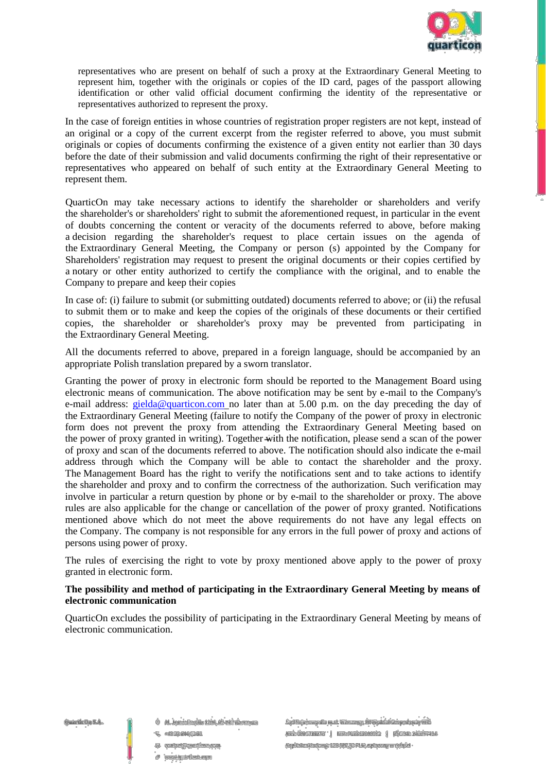

representatives who are present on behalf of such a proxy at the Extraordinary General Meeting to represent him, together with the originals or copies of the ID card, pages of the passport allowing identification or other valid official document confirming the identity of the representative or representatives authorized to represent the proxy.

In the case of foreign entities in whose countries of registration proper registers are not kept, instead of an original or a copy of the current excerpt from the register referred to above, you must submit originals or copies of documents confirming the existence of a given entity not earlier than 30 days before the date of their submission and valid documents confirming the right of their representative or representatives who appeared on behalf of such entity at the Extraordinary General Meeting to represent them.

QuarticOn may take necessary actions to identify the shareholder or shareholders and verify the shareholder's or shareholders' right to submit the aforementioned request, in particular in the event of doubts concerning the content or veracity of the documents referred to above, before making a decision regarding the shareholder's request to place certain issues on the agenda of the Extraordinary General Meeting, the Company or person (s) appointed by the Company for Shareholders' registration may request to present the original documents or their copies certified by a notary or other entity authorized to certify the compliance with the original, and to enable the Company to prepare and keep their copies

In case of: (i) failure to submit (or submitting outdated) documents referred to above; or (ii) the refusal to submit them or to make and keep the copies of the originals of these documents or their certified copies, the shareholder or shareholder's proxy may be prevented from participating in the Extraordinary General Meeting.

All the documents referred to above, prepared in a foreign language, should be accompanied by an appropriate Polish translation prepared by a sworn translator.

Granting the power of proxy in electronic form should be reported to the Management Board using electronic means of communication. The above notification may be sent by e-mail to the Company's e-mail address: [gielda@quarticon.com](mailto:gielda@quarticon.com) no later than at 5.00 p.m. on the day preceding the day of the Extraordinary General Meeting (failure to notify the Company of the power of proxy in electronic form does not prevent the proxy from attending the Extraordinary General Meeting based on the power of proxy granted in writing). Together with the notification, please send a scan of the power of proxy and scan of the documents referred to above. The notification should also indicate the e-mail address through which the Company will be able to contact the shareholder and the proxy. The Management Board has the right to verify the notifications sent and to take actions to identify the shareholder and proxy and to confirm the correctness of the authorization. Such verification may involve in particular a return question by phone or by e-mail to the shareholder or proxy. The above rules are also applicable for the change or cancellation of the power of proxy granted. Notifications mentioned above which do not meet the above requirements do not have any legal effects on the Company. The company is not responsible for any errors in the full power of proxy and actions of persons using power of proxy.

The rules of exercising the right to vote by proxy mentioned above apply to the power of proxy granted in electronic form.

# **The possibility and method of participating in the Extraordinary General Meeting by means of electronic communication**

QuarticOn excludes the possibility of participating in the Extraordinary General Meeting by means of electronic communication.

Owartle On S.A.

 $@$  Al., lerozolimskie 1238, 02-017 Warszwan

- L +4833 844 0351
- El contact@quarticon.com
- a www.quarticon.com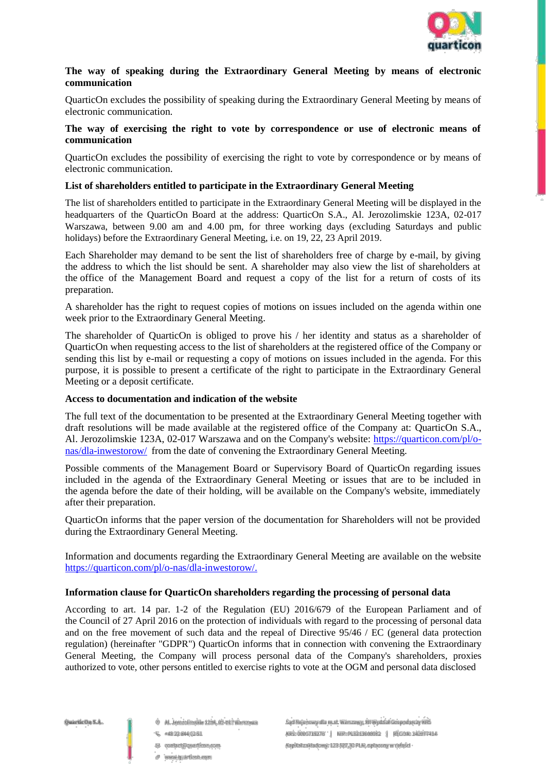

## **The way of speaking during the Extraordinary General Meeting by means of electronic communication**

QuarticOn excludes the possibility of speaking during the Extraordinary General Meeting by means of electronic communication.

#### **The way of exercising the right to vote by correspondence or use of electronic means of communication**

QuarticOn excludes the possibility of exercising the right to vote by correspondence or by means of electronic communication.

## **List of shareholders entitled to participate in the Extraordinary General Meeting**

The list of shareholders entitled to participate in the Extraordinary General Meeting will be displayed in the headquarters of the QuarticOn Board at the address: QuarticOn S.A., Al. Jerozolimskie 123A, 02-017 Warszawa, between 9.00 am and 4.00 pm, for three working days (excluding Saturdays and public holidays) before the Extraordinary General Meeting, i.e. on 19, 22, 23 April 2019.

Each Shareholder may demand to be sent the list of shareholders free of charge by e-mail, by giving the address to which the list should be sent. A shareholder may also view the list of shareholders at the office of the Management Board and request a copy of the list for a return of costs of its preparation.

A shareholder has the right to request copies of motions on issues included on the agenda within one week prior to the Extraordinary General Meeting.

The shareholder of QuarticOn is obliged to prove his / her identity and status as a shareholder of QuarticOn when requesting access to the list of shareholders at the registered office of the Company or sending this list by e-mail or requesting a copy of motions on issues included in the agenda. For this purpose, it is possible to present a certificate of the right to participate in the Extraordinary General Meeting or a deposit certificate.

# **Access to documentation and indication of the website**

The full text of the documentation to be presented at the Extraordinary General Meeting together with draft resolutions will be made available at the registered office of the Company at: QuarticOn S.A., Al. Jerozolimskie 123A, 02-017 Warszawa and on the Company's website: [https://quarticon.com/pl/o](https://quarticon.com/pl/o-nas/dla-inwestorow/)[nas/dla-inwestorow/](https://quarticon.com/pl/o-nas/dla-inwestorow/) from the date of convening the Extraordinary General Meeting.

Possible comments of the Management Board or Supervisory Board of QuarticOn regarding issues included in the agenda of the Extraordinary General Meeting or issues that are to be included in the agenda before the date of their holding, will be available on the Company's website, immediately after their preparation.

QuarticOn informs that the paper version of the documentation for Shareholders will not be provided during the Extraordinary General Meeting.

Information and documents regarding the Extraordinary General Meeting are available on the website [https://quarticon.com/pl/o-nas/dla-inwestorow/.](https://quarticon.com/pl/o-nas/dla-inwestorow/)

#### **Information clause for QuarticOn shareholders regarding the processing of personal data**

According to art. 14 par. 1-2 of the Regulation (EU) 2016/679 of the European Parliament and of the Council of 27 April 2016 on the protection of individuals with regard to the processing of personal data and on the free movement of such data and the repeal of Directive 95/46 / EC (general data protection regulation) (hereinafter "GDPR") QuarticOn informs that in connection with convening the Extraordinary General Meeting, the Company will process personal data of the Company's shareholders, proxies authorized to vote, other persons entitled to exercise rights to vote at the OGM and personal data disclosed

- @ AL. Jerozolimskie 123A, 02-017 Warszawa
- U. +48 22 844 02 51
- El contact@quarticon.com
- a www.quarticon.com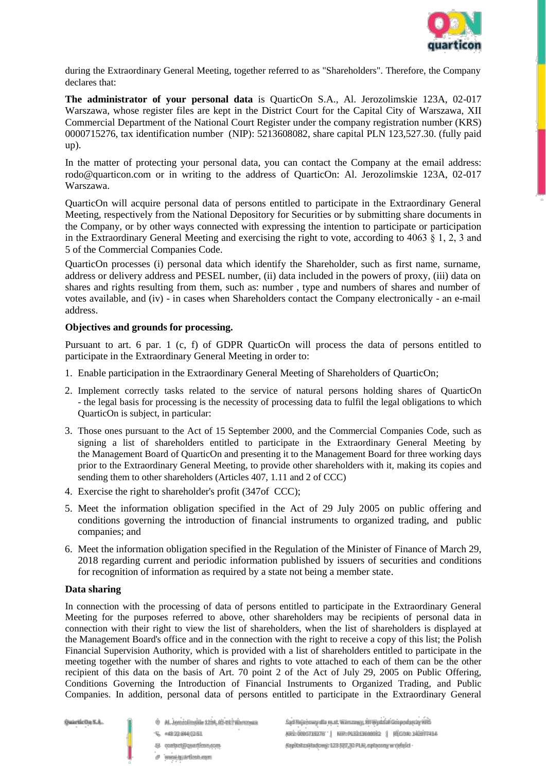

during the Extraordinary General Meeting, together referred to as "Shareholders". Therefore, the Company declares that:

**The administrator of your personal data** is QuarticOn S.A., Al. Jerozolimskie 123A, 02-017 Warszawa, whose register files are kept in the District Court for the Capital City of Warszawa, XII Commercial Department of the National Court Register under the company registration number (KRS) 0000715276, tax identification number (NIP): 5213608082, share capital PLN 123,527.30. (fully paid up).

In the matter of protecting your personal data, you can contact the Company at the email address: rodo@quarticon.com or in writing to the address of QuarticOn: Al. Jerozolimskie 123A, 02-017 Warszawa.

QuarticOn will acquire personal data of persons entitled to participate in the Extraordinary General Meeting, respectively from the National Depository for Securities or by submitting share documents in the Company, or by other ways connected with expressing the intention to participate or participation in the Extraordinary General Meeting and exercising the right to vote, according to 4063  $\overline{\S}$  1, 2, 3 and 5 of the Commercial Companies Code.

QuarticOn processes (i) personal data which identify the Shareholder, such as first name, surname, address or delivery address and PESEL number, (ii) data included in the powers of proxy, (iii) data on shares and rights resulting from them, such as: number , type and numbers of shares and number of votes available, and (iv) - in cases when Shareholders contact the Company electronically - an e-mail address.

# **Objectives and grounds for processing.**

Pursuant to art. 6 par. 1 (c, f) of GDPR QuarticOn will process the data of persons entitled to participate in the Extraordinary General Meeting in order to:

- 1. Enable participation in the Extraordinary General Meeting of Shareholders of QuarticOn;
- 2. Implement correctly tasks related to the service of natural persons holding shares of QuarticOn - the legal basis for processing is the necessity of processing data to fulfil the legal obligations to which QuarticOn is subject, in particular:
- 3. Those ones pursuant to the Act of 15 September 2000, and the Commercial Companies Code, such as signing a list of shareholders entitled to participate in the Extraordinary General Meeting by the Management Board of QuarticOn and presenting it to the Management Board for three working days prior to the Extraordinary General Meeting, to provide other shareholders with it, making its copies and sending them to other shareholders (Articles 407, 1.11 and 2 of CCC)
- 4. Exercise the right to shareholder's profit (347of CCC);
- 5. Meet the information obligation specified in the Act of 29 July 2005 on public offering and conditions governing the introduction of financial instruments to organized trading, and public companies; and
- 6. Meet the information obligation specified in the Regulation of the Minister of Finance of March 29, 2018 regarding current and periodic information published by issuers of securities and conditions for recognition of information as required by a state not being a member state.

# **Data sharing**

In connection with the processing of data of persons entitled to participate in the Extraordinary General Meeting for the purposes referred to above, other shareholders may be recipients of personal data in connection with their right to view the list of shareholders, when the list of shareholders is displayed at the Management Board's office and in the connection with the right to receive a copy of this list; the Polish Financial Supervision Authority, which is provided with a list of shareholders entitled to participate in the meeting together with the number of shares and rights to vote attached to each of them can be the other recipient of this data on the basis of Art. 70 point 2 of the Act of July 29, 2005 on Public Offering, Conditions Governing the Introduction of Financial Instruments to Organized Trading, and Public Companies. In addition, personal data of persons entitled to participate in the Extraordinary General

Owartle On S.A.

- @ Al. Jerozolimskie 1238.02-017 Warszawa
- U. +48 22 844 02 51
- El contact@quarticon.com
- a www.quarticon.com